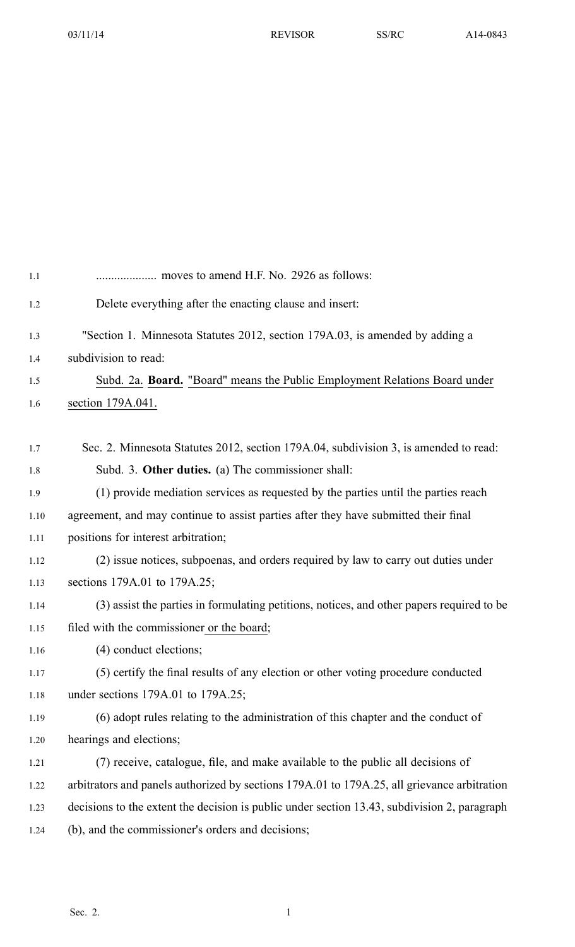| 1.1  |                                                                                              |  |  |  |
|------|----------------------------------------------------------------------------------------------|--|--|--|
| 1.2  | Delete everything after the enacting clause and insert:                                      |  |  |  |
| 1.3  | "Section 1. Minnesota Statutes 2012, section 179A.03, is amended by adding a                 |  |  |  |
| 1.4  | subdivision to read:                                                                         |  |  |  |
| 1.5  | Subd. 2a. Board. "Board" means the Public Employment Relations Board under                   |  |  |  |
| 1.6  | section 179A.041.                                                                            |  |  |  |
|      |                                                                                              |  |  |  |
| 1.7  | Sec. 2. Minnesota Statutes 2012, section 179A.04, subdivision 3, is amended to read:         |  |  |  |
| 1.8  | Subd. 3. Other duties. (a) The commissioner shall:                                           |  |  |  |
| 1.9  | (1) provide mediation services as requested by the parties until the parties reach           |  |  |  |
| 1.10 | agreement, and may continue to assist parties after they have submitted their final          |  |  |  |
| 1.11 | positions for interest arbitration;                                                          |  |  |  |
| 1.12 | (2) issue notices, subpoenas, and orders required by law to carry out duties under           |  |  |  |
| 1.13 | sections 179A.01 to 179A.25;                                                                 |  |  |  |
| 1.14 | (3) assist the parties in formulating petitions, notices, and other papers required to be    |  |  |  |
| 1.15 | filed with the commissioner or the board;                                                    |  |  |  |
| 1.16 | (4) conduct elections;                                                                       |  |  |  |
| 1.17 | (5) certify the final results of any election or other voting procedure conducted            |  |  |  |
| 1.18 | under sections 179A.01 to 179A.25;                                                           |  |  |  |
| 1.19 | (6) adopt rules relating to the administration of this chapter and the conduct of            |  |  |  |
| 1.20 | hearings and elections;                                                                      |  |  |  |
| 1.21 | (7) receive, catalogue, file, and make available to the public all decisions of              |  |  |  |
| 1.22 | arbitrators and panels authorized by sections 179A.01 to 179A.25, all grievance arbitration  |  |  |  |
| 1.23 | decisions to the extent the decision is public under section 13.43, subdivision 2, paragraph |  |  |  |
| 1.24 | (b), and the commissioner's orders and decisions;                                            |  |  |  |
|      |                                                                                              |  |  |  |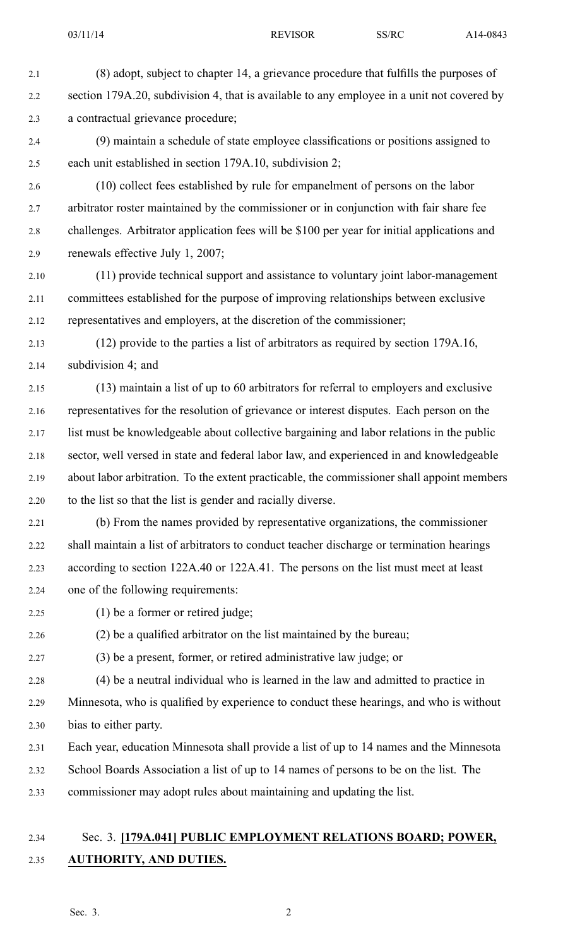- 2.1 (8) adopt, subject to chapter 14, <sup>a</sup> grievance procedure that fulfills the purposes of 2.2 section 179A.20, subdivision 4, that is available to any employee in a unit not covered by 2.3 <sup>a</sup> contractual grievance procedure;
- 2.4 (9) maintain <sup>a</sup> schedule of state employee classifications or positions assigned to 2.5 each unit established in section 179A.10, subdivision 2;
- 2.6 (10) collect fees established by rule for empanelment of persons on the labor 2.7 arbitrator roster maintained by the commissioner or in conjunction with fair share fee 2.8 challenges. Arbitrator application fees will be \$100 per year for initial applications and 2.9 renewals effective July 1, 2007;
- 2.10 (11) provide technical suppor<sup>t</sup> and assistance to voluntary joint labor-management 2.11 committees established for the purpose of improving relationships between exclusive 2.12 representatives and employers, at the discretion of the commissioner;
- 2.13 (12) provide to the parties <sup>a</sup> list of arbitrators as required by section 179A.16, 2.14 subdivision 4; and
- 2.15 (13) maintain <sup>a</sup> list of up to 60 arbitrators for referral to employers and exclusive 2.16 representatives for the resolution of grievance or interest disputes. Each person on the 2.17 list must be knowledgeable about collective bargaining and labor relations in the public 2.18 sector, well versed in state and federal labor law, and experienced in and knowledgeable 2.19 about labor arbitration. To the extent practicable, the commissioner shall appoint members 2.20 to the list so that the list is gender and racially diverse.
- 2.21 (b) From the names provided by representative organizations, the commissioner 2.22 shall maintain <sup>a</sup> list of arbitrators to conduct teacher discharge or termination hearings 2.23 according to section 122A.40 or 122A.41. The persons on the list must meet at least 2.24 one of the following requirements:
- 

2.25 (1) be <sup>a</sup> former or retired judge;

2.26 (2) be <sup>a</sup> qualified arbitrator on the list maintained by the bureau;

2.27 (3) be <sup>a</sup> present, former, or retired administrative law judge; or

2.28 (4) be <sup>a</sup> neutral individual who is learned in the law and admitted to practice in 2.29 Minnesota, who is qualified by experience to conduct these hearings, and who is without 2.30 bias to either party.

2.31 Each year, education Minnesota shall provide <sup>a</sup> list of up to 14 names and the Minnesota

- 2.32 School Boards Association <sup>a</sup> list of up to 14 names of persons to be on the list. The
- 2.33 commissioner may adopt rules about maintaining and updating the list.

## 2.34 Sec. 3. **[179A.041] PUBLIC EMPLOYMENT RELATIONS BOARD; POWER,** 2.35 **AUTHORITY, AND DUTIES.**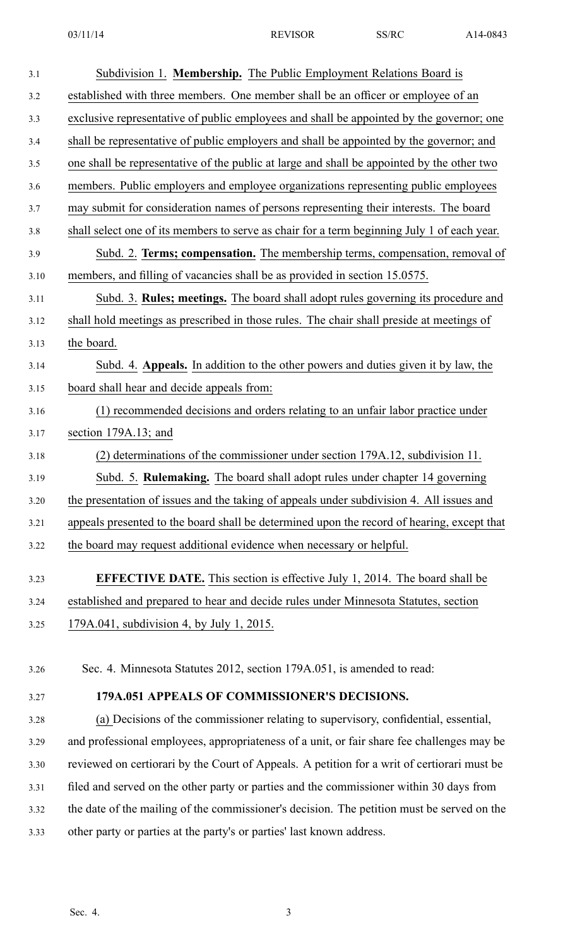| 3.1  | Subdivision 1. Membership. The Public Employment Relations Board is                         |
|------|---------------------------------------------------------------------------------------------|
| 3.2  | established with three members. One member shall be an officer or employee of an            |
| 3.3  | exclusive representative of public employees and shall be appointed by the governor; one    |
| 3.4  | shall be representative of public employers and shall be appointed by the governor; and     |
| 3.5  | one shall be representative of the public at large and shall be appointed by the other two  |
| 3.6  | members. Public employers and employee organizations representing public employees          |
| 3.7  | may submit for consideration names of persons representing their interests. The board       |
| 3.8  | shall select one of its members to serve as chair for a term beginning July 1 of each year. |
| 3.9  | Subd. 2. Terms; compensation. The membership terms, compensation, removal of                |
| 3.10 | members, and filling of vacancies shall be as provided in section 15.0575.                  |
| 3.11 | Subd. 3. Rules; meetings. The board shall adopt rules governing its procedure and           |
| 3.12 | shall hold meetings as prescribed in those rules. The chair shall preside at meetings of    |
| 3.13 | the board.                                                                                  |
| 3.14 | Subd. 4. Appeals. In addition to the other powers and duties given it by law, the           |
| 3.15 | board shall hear and decide appeals from:                                                   |
| 3.16 | (1) recommended decisions and orders relating to an unfair labor practice under             |
| 3.17 | section 179A.13; and                                                                        |
| 3.18 | (2) determinations of the commissioner under section 179A.12, subdivision 11.               |
| 3.19 | Subd. 5. Rulemaking. The board shall adopt rules under chapter 14 governing                 |
| 3.20 | the presentation of issues and the taking of appeals under subdivision 4. All issues and    |
| 3.21 | appeals presented to the board shall be determined upon the record of hearing, except that  |
| 3.22 | the board may request additional evidence when necessary or helpful.                        |
| 3.23 | <b>EFFECTIVE DATE.</b> This section is effective July 1, 2014. The board shall be           |
| 3.24 | established and prepared to hear and decide rules under Minnesota Statutes, section         |
| 3.25 | 179A.041, subdivision 4, by July 1, 2015.                                                   |
|      |                                                                                             |
| 3.26 | Sec. 4. Minnesota Statutes 2012, section 179A.051, is amended to read:                      |
| 3.27 | 179A.051 APPEALS OF COMMISSIONER'S DECISIONS.                                               |
| 3.28 | (a) Decisions of the commissioner relating to supervisory, confidential, essential,         |
| 3.29 | and professional employees, appropriateness of a unit, or fair share fee challenges may be  |
| 3.30 | reviewed on certiorari by the Court of Appeals. A petition for a writ of certiorari must be |
| 3.31 | filed and served on the other party or parties and the commissioner within 30 days from     |
| 3.32 | the date of the mailing of the commissioner's decision. The petition must be served on the  |
| 3.33 | other party or parties at the party's or parties' last known address.                       |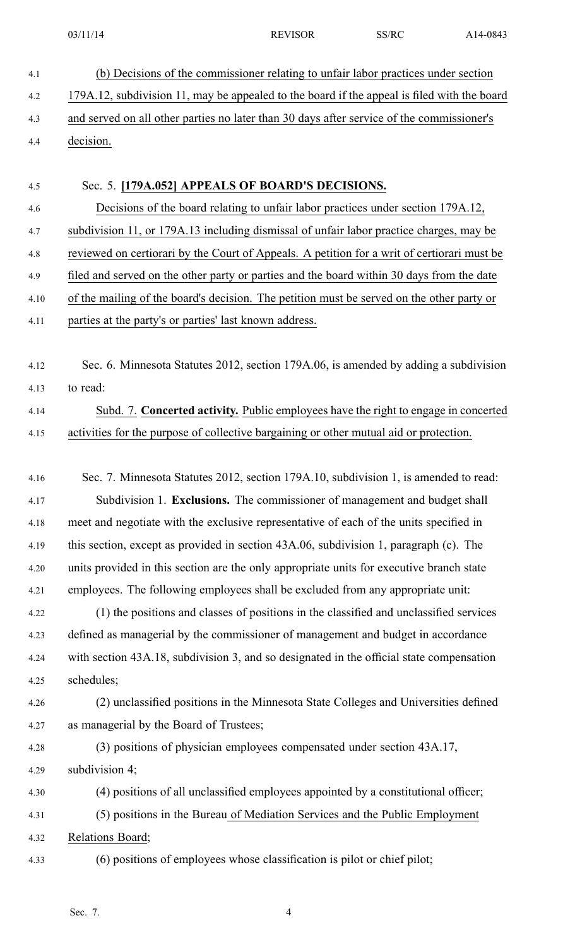- 4.1 (b) Decisions of the commissioner relating to unfair labor practices under section 4.2 179A.12, subdivision 11, may be appealed to the board if the appeal is filed with the board 4.3 and served on all other parties no later than 30 days after service of the commissioner's 4.4 decision. 4.5 Sec. 5. **[179A.052] APPEALS OF BOARD'S DECISIONS.** 4.6 Decisions of the board relating to unfair labor practices under section 179A.12, 4.7 subdivision 11, or 179A.13 including dismissal of unfair labor practice charges, may be 4.8 reviewed on certiorari by the Court of Appeals. A petition for <sup>a</sup> writ of certiorari must be 4.9 filed and served on the other party or parties and the board within 30 days from the date 4.10 of the mailing of the board's decision. The petition must be served on the other party or 4.11 parties at the party's or parties' last known address. 4.12 Sec. 6. Minnesota Statutes 2012, section 179A.06, is amended by adding <sup>a</sup> subdivision 4.13 to read: 4.14 Subd. 7. **Concerted activity.** Public employees have the right to engage in concerted 4.15 activities for the purpose of collective bargaining or other mutual aid or protection. 4.16 Sec. 7. Minnesota Statutes 2012, section 179A.10, subdivision 1, is amended to read: 4.17 Subdivision 1. **Exclusions.** The commissioner of managemen<sup>t</sup> and budget shall 4.18 meet and negotiate with the exclusive representative of each of the units specified in 4.19 this section, excep<sup>t</sup> as provided in section 43A.06, subdivision 1, paragraph (c). The 4.20 units provided in this section are the only appropriate units for executive branch state 4.21 employees. The following employees shall be excluded from any appropriate unit: 4.22 (1) the positions and classes of positions in the classified and unclassified services 4.23 defined as managerial by the commissioner of managemen<sup>t</sup> and budget in accordance 4.24 with section 43A.18, subdivision 3, and so designated in the official state compensation 4.25 schedules; 4.26 (2) unclassified positions in the Minnesota State Colleges and Universities defined 4.27 as managerial by the Board of Trustees;
- 4.28 (3) positions of physician employees compensated under section 43A.17, 4.29 subdivision 4;
- 4.30 (4) positions of all unclassified employees appointed by <sup>a</sup> constitutional officer; 4.31 (5) positions in the Bureau of Mediation Services and the Public Employment 4.32 Relations Board;
- 4.33 (6) positions of employees whose classification is pilot or chief pilot;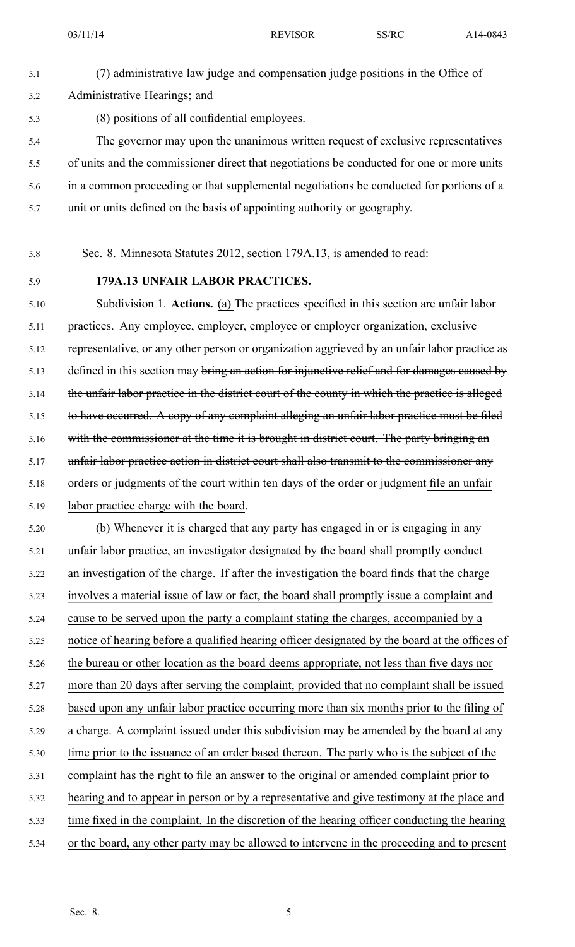5.1 (7) administrative law judge and compensation judge positions in the Office of 5.2 Administrative Hearings; and 5.3 (8) positions of all confidential employees. 5.4 The governor may upon the unanimous written reques<sup>t</sup> of exclusive representatives 5.5 of units and the commissioner direct that negotiations be conducted for one or more units 5.6 in <sup>a</sup> common proceeding or that supplemental negotiations be conducted for portions of <sup>a</sup> 5.7 unit or units defined on the basis of appointing authority or geography.

5.8 Sec. 8. Minnesota Statutes 2012, section 179A.13, is amended to read:

## 5.9 **179A.13 UNFAIR LABOR PRACTICES.**

5.10 Subdivision 1. **Actions.** (a) The practices specified in this section are unfair labor 5.11 practices. Any employee, employer, employee or employer organization, exclusive 5.12 representative, or any other person or organization aggrieved by an unfair labor practice as 5.13 defined in this section may bring an action for injunctive relief and for damages caused by 5.14 the unfair labor practice in the district court of the county in which the practice is alleged 5.15 to have occurred. A copy of any complaint alleging an unfair labor practice must be filed 5.16 with the commissioner at the time it is brought in district court. The party bringing an 5.17 unfair labor practice action in district court shall also transmit to the commissioner any 5.18 orders or judgments of the court within ten days of the order or judgment file an unfair 5.19 labor practice charge with the board.

5.20 (b) Whenever it is charged that any party has engaged in or is engaging in any 5.21 unfair labor practice, an investigator designated by the board shall promptly conduct 5.22 an investigation of the charge. If after the investigation the board finds that the charge 5.23 involves <sup>a</sup> material issue of law or fact, the board shall promptly issue <sup>a</sup> complaint and 5.24 cause to be served upon the party <sup>a</sup> complaint stating the charges, accompanied by <sup>a</sup> 5.25 notice of hearing before <sup>a</sup> qualified hearing officer designated by the board at the offices of 5.26 the bureau or other location as the board deems appropriate, not less than five days nor 5.27 more than 20 days after serving the complaint, provided that no complaint shall be issued 5.28 based upon any unfair labor practice occurring more than six months prior to the filing of 5.29 <sup>a</sup> charge. A complaint issued under this subdivision may be amended by the board at any 5.30 time prior to the issuance of an order based thereon. The party who is the subject of the 5.31 complaint has the right to file an answer to the original or amended complaint prior to 5.32 hearing and to appear in person or by <sup>a</sup> representative and give testimony at the place and 5.33 time fixed in the complaint. In the discretion of the hearing officer conducting the hearing 5.34 or the board, any other party may be allowed to intervene in the proceeding and to presen<sup>t</sup>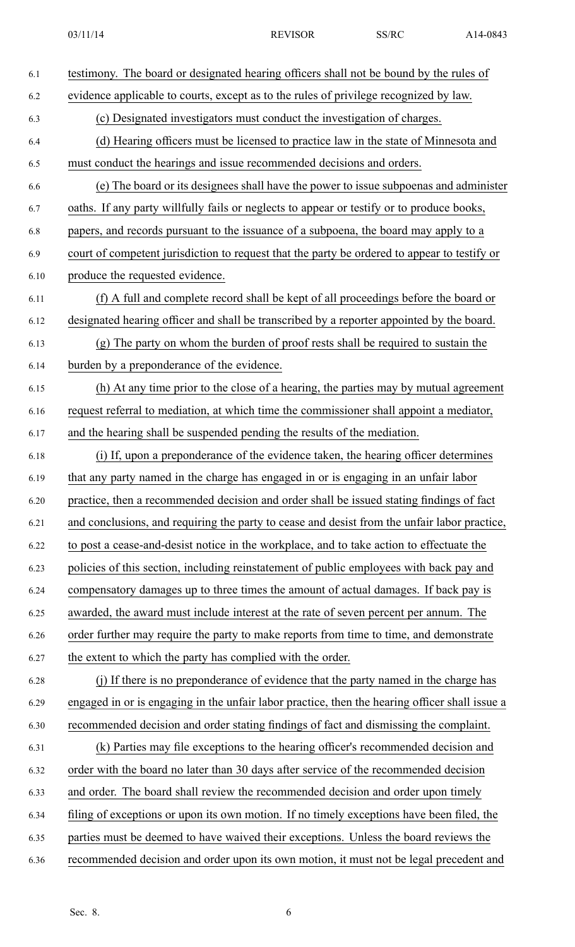| 6.1  | testimony. The board or designated hearing officers shall not be bound by the rules of         |  |  |  |  |
|------|------------------------------------------------------------------------------------------------|--|--|--|--|
| 6.2  | evidence applicable to courts, except as to the rules of privilege recognized by law.          |  |  |  |  |
| 6.3  | (c) Designated investigators must conduct the investigation of charges.                        |  |  |  |  |
| 6.4  | (d) Hearing officers must be licensed to practice law in the state of Minnesota and            |  |  |  |  |
| 6.5  | must conduct the hearings and issue recommended decisions and orders.                          |  |  |  |  |
| 6.6  | (e) The board or its designees shall have the power to issue subpoenas and administer          |  |  |  |  |
| 6.7  | oaths. If any party willfully fails or neglects to appear or testify or to produce books,      |  |  |  |  |
| 6.8  | papers, and records pursuant to the issuance of a subpoena, the board may apply to a           |  |  |  |  |
| 6.9  | court of competent jurisdiction to request that the party be ordered to appear to testify or   |  |  |  |  |
| 6.10 | produce the requested evidence.                                                                |  |  |  |  |
| 6.11 | (f) A full and complete record shall be kept of all proceedings before the board or            |  |  |  |  |
| 6.12 | designated hearing officer and shall be transcribed by a reporter appointed by the board.      |  |  |  |  |
| 6.13 | (g) The party on whom the burden of proof rests shall be required to sustain the               |  |  |  |  |
| 6.14 | burden by a preponderance of the evidence.                                                     |  |  |  |  |
| 6.15 | (h) At any time prior to the close of a hearing, the parties may by mutual agreement           |  |  |  |  |
| 6.16 | request referral to mediation, at which time the commissioner shall appoint a mediator,        |  |  |  |  |
| 6.17 | and the hearing shall be suspended pending the results of the mediation.                       |  |  |  |  |
| 6.18 | (i) If, upon a preponderance of the evidence taken, the hearing officer determines             |  |  |  |  |
| 6.19 | that any party named in the charge has engaged in or is engaging in an unfair labor            |  |  |  |  |
| 6.20 | practice, then a recommended decision and order shall be issued stating findings of fact       |  |  |  |  |
| 6.21 | and conclusions, and requiring the party to cease and desist from the unfair labor practice,   |  |  |  |  |
| 6.22 | to post a cease-and-desist notice in the workplace, and to take action to effectuate the       |  |  |  |  |
| 6.23 | policies of this section, including reinstatement of public employees with back pay and        |  |  |  |  |
| 6.24 | compensatory damages up to three times the amount of actual damages. If back pay is            |  |  |  |  |
| 6.25 | awarded, the award must include interest at the rate of seven percent per annum. The           |  |  |  |  |
| 6.26 | order further may require the party to make reports from time to time, and demonstrate         |  |  |  |  |
| 6.27 | the extent to which the party has complied with the order.                                     |  |  |  |  |
| 6.28 | (i) If there is no preponderance of evidence that the party named in the charge has            |  |  |  |  |
| 6.29 | engaged in or is engaging in the unfair labor practice, then the hearing officer shall issue a |  |  |  |  |
| 6.30 | recommended decision and order stating findings of fact and dismissing the complaint.          |  |  |  |  |
| 6.31 | (k) Parties may file exceptions to the hearing officer's recommended decision and              |  |  |  |  |
| 6.32 | order with the board no later than 30 days after service of the recommended decision           |  |  |  |  |
| 6.33 | and order. The board shall review the recommended decision and order upon timely               |  |  |  |  |
| 6.34 | filing of exceptions or upon its own motion. If no timely exceptions have been filed, the      |  |  |  |  |
| 6.35 | parties must be deemed to have waived their exceptions. Unless the board reviews the           |  |  |  |  |
| 6.36 | recommended decision and order upon its own motion, it must not be legal precedent and         |  |  |  |  |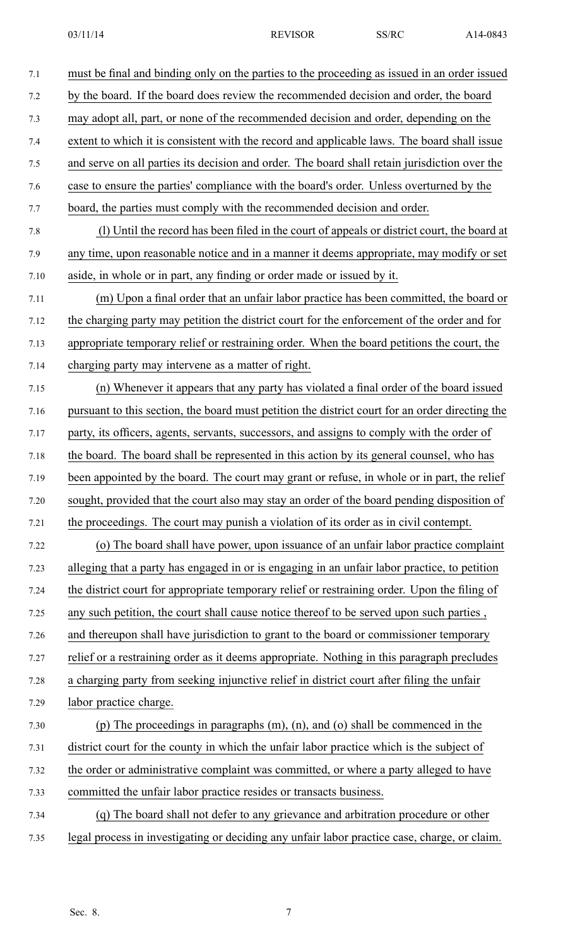| 7.1  | must be final and binding only on the parties to the proceeding as issued in an order issued    |
|------|-------------------------------------------------------------------------------------------------|
| 7.2  | by the board. If the board does review the recommended decision and order, the board            |
| 7.3  | may adopt all, part, or none of the recommended decision and order, depending on the            |
| 7.4  | extent to which it is consistent with the record and applicable laws. The board shall issue     |
| 7.5  | and serve on all parties its decision and order. The board shall retain jurisdiction over the   |
| 7.6  | case to ensure the parties' compliance with the board's order. Unless overturned by the         |
| 7.7  | board, the parties must comply with the recommended decision and order.                         |
| 7.8  | (1) Until the record has been filed in the court of appeals or district court, the board at     |
| 7.9  | any time, upon reasonable notice and in a manner it deems appropriate, may modify or set        |
| 7.10 | aside, in whole or in part, any finding or order made or issued by it.                          |
| 7.11 | (m) Upon a final order that an unfair labor practice has been committed, the board or           |
| 7.12 | the charging party may petition the district court for the enforcement of the order and for     |
| 7.13 | appropriate temporary relief or restraining order. When the board petitions the court, the      |
| 7.14 | charging party may intervene as a matter of right.                                              |
| 7.15 | (n) Whenever it appears that any party has violated a final order of the board issued           |
| 7.16 | pursuant to this section, the board must petition the district court for an order directing the |
| 7.17 | party, its officers, agents, servants, successors, and assigns to comply with the order of      |
| 7.18 | the board. The board shall be represented in this action by its general counsel, who has        |
| 7.19 | been appointed by the board. The court may grant or refuse, in whole or in part, the relief     |
| 7.20 | sought, provided that the court also may stay an order of the board pending disposition of      |
| 7.21 | the proceedings. The court may punish a violation of its order as in civil contempt.            |
| 7.22 | (o) The board shall have power, upon issuance of an unfair labor practice complaint             |
| 7.23 | alleging that a party has engaged in or is engaging in an unfair labor practice, to petition    |
| 7.24 | the district court for appropriate temporary relief or restraining order. Upon the filing of    |
| 7.25 | any such petition, the court shall cause notice thereof to be served upon such parties,         |
| 7.26 | and thereupon shall have jurisdiction to grant to the board or commissioner temporary           |
| 7.27 | relief or a restraining order as it deems appropriate. Nothing in this paragraph precludes      |
| 7.28 | a charging party from seeking injunctive relief in district court after filing the unfair       |
| 7.29 | labor practice charge.                                                                          |
| 7.30 | (p) The proceedings in paragraphs $(m)$ , $(n)$ , and $(o)$ shall be commenced in the           |
| 7.31 | district court for the county in which the unfair labor practice which is the subject of        |
| 7.32 | the order or administrative complaint was committed, or where a party alleged to have           |
| 7.33 | committed the unfair labor practice resides or transacts business.                              |
| 7.34 | (q) The board shall not defer to any grievance and arbitration procedure or other               |
| 7.35 | legal process in investigating or deciding any unfair labor practice case, charge, or claim.    |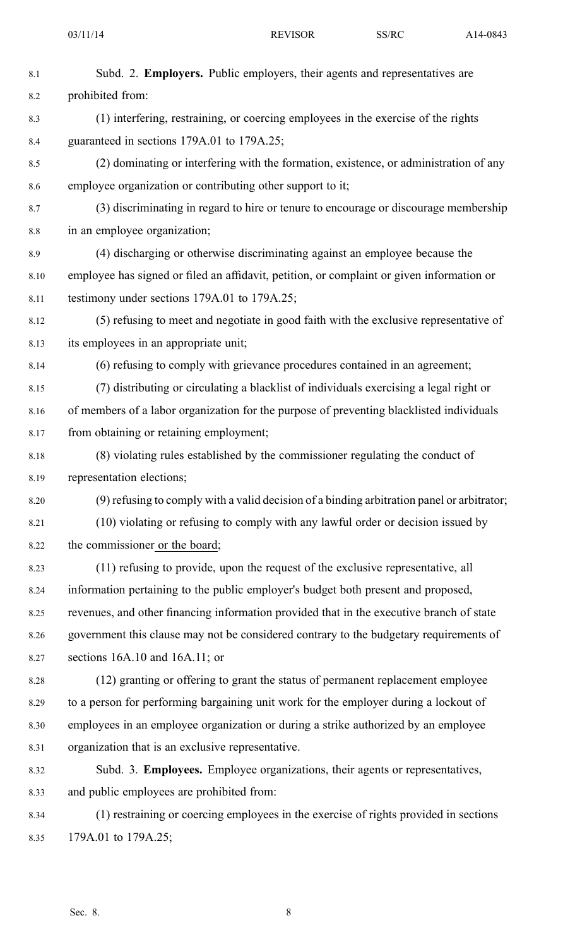| 8.1     | Subd. 2. Employers. Public employers, their agents and representatives are                 |  |  |  |  |  |
|---------|--------------------------------------------------------------------------------------------|--|--|--|--|--|
| 8.2     | prohibited from:                                                                           |  |  |  |  |  |
| 8.3     | (1) interfering, restraining, or coercing employees in the exercise of the rights          |  |  |  |  |  |
| 8.4     | guaranteed in sections 179A.01 to 179A.25;                                                 |  |  |  |  |  |
| 8.5     | (2) dominating or interfering with the formation, existence, or administration of any      |  |  |  |  |  |
| 8.6     | employee organization or contributing other support to it;                                 |  |  |  |  |  |
| 8.7     | (3) discriminating in regard to hire or tenure to encourage or discourage membership       |  |  |  |  |  |
| $8.8\,$ | in an employee organization;                                                               |  |  |  |  |  |
| 8.9     | (4) discharging or otherwise discriminating against an employee because the                |  |  |  |  |  |
| 8.10    | employee has signed or filed an affidavit, petition, or complaint or given information or  |  |  |  |  |  |
| 8.11    | testimony under sections 179A.01 to 179A.25;                                               |  |  |  |  |  |
| 8.12    | (5) refusing to meet and negotiate in good faith with the exclusive representative of      |  |  |  |  |  |
| 8.13    | its employees in an appropriate unit;                                                      |  |  |  |  |  |
| 8.14    | (6) refusing to comply with grievance procedures contained in an agreement;                |  |  |  |  |  |
| 8.15    | (7) distributing or circulating a blacklist of individuals exercising a legal right or     |  |  |  |  |  |
| 8.16    | of members of a labor organization for the purpose of preventing blacklisted individuals   |  |  |  |  |  |
| 8.17    | from obtaining or retaining employment;                                                    |  |  |  |  |  |
| 8.18    | (8) violating rules established by the commissioner regulating the conduct of              |  |  |  |  |  |
| 8.19    | representation elections;                                                                  |  |  |  |  |  |
| 8.20    | (9) refusing to comply with a valid decision of a binding arbitration panel or arbitrator; |  |  |  |  |  |
| 8.21    | (10) violating or refusing to comply with any lawful order or decision issued by           |  |  |  |  |  |
| 8.22    | the commissioner or the board;                                                             |  |  |  |  |  |
| 8.23    | (11) refusing to provide, upon the request of the exclusive representative, all            |  |  |  |  |  |
| 8.24    | information pertaining to the public employer's budget both present and proposed,          |  |  |  |  |  |
| 8.25    | revenues, and other financing information provided that in the executive branch of state   |  |  |  |  |  |
| 8.26    | government this clause may not be considered contrary to the budgetary requirements of     |  |  |  |  |  |
| 8.27    | sections $16A.10$ and $16A.11$ ; or                                                        |  |  |  |  |  |
| 8.28    | (12) granting or offering to grant the status of permanent replacement employee            |  |  |  |  |  |
| 8.29    | to a person for performing bargaining unit work for the employer during a lockout of       |  |  |  |  |  |
| 8.30    | employees in an employee organization or during a strike authorized by an employee         |  |  |  |  |  |
| 8.31    | organization that is an exclusive representative.                                          |  |  |  |  |  |
| 8.32    | Subd. 3. Employees. Employee organizations, their agents or representatives,               |  |  |  |  |  |
| 8.33    | and public employees are prohibited from:                                                  |  |  |  |  |  |
| 8.34    | (1) restraining or coercing employees in the exercise of rights provided in sections       |  |  |  |  |  |
| 8.35    | 179A.01 to 179A.25;                                                                        |  |  |  |  |  |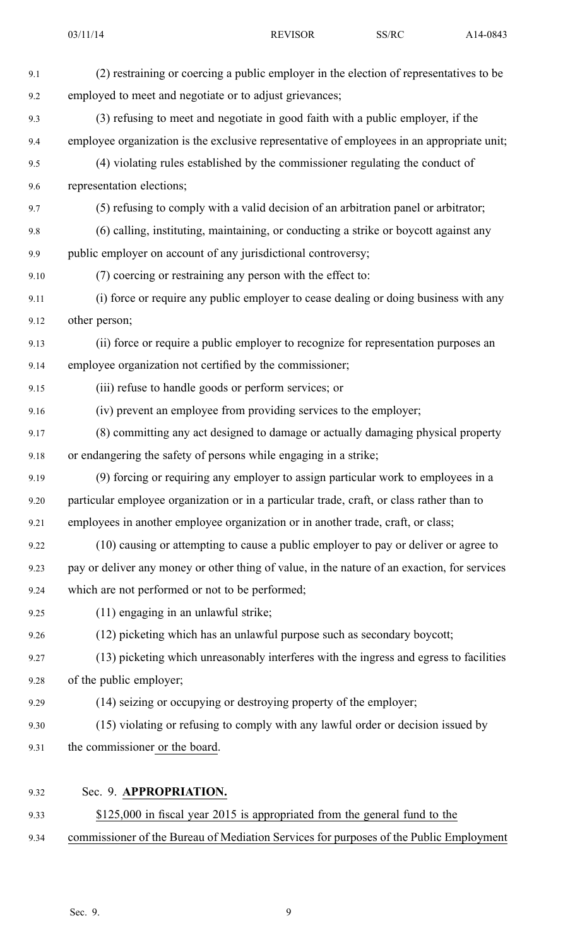| 9.1  | (2) restraining or coercing a public employer in the election of representatives to be       |
|------|----------------------------------------------------------------------------------------------|
| 9.2  | employed to meet and negotiate or to adjust grievances;                                      |
| 9.3  | (3) refusing to meet and negotiate in good faith with a public employer, if the              |
| 9.4  | employee organization is the exclusive representative of employees in an appropriate unit;   |
| 9.5  | (4) violating rules established by the commissioner regulating the conduct of                |
| 9.6  | representation elections;                                                                    |
| 9.7  | (5) refusing to comply with a valid decision of an arbitration panel or arbitrator;          |
| 9.8  | (6) calling, instituting, maintaining, or conducting a strike or boycott against any         |
| 9.9  | public employer on account of any jurisdictional controversy;                                |
| 9.10 | (7) coercing or restraining any person with the effect to:                                   |
| 9.11 | (i) force or require any public employer to cease dealing or doing business with any         |
| 9.12 | other person;                                                                                |
| 9.13 | (ii) force or require a public employer to recognize for representation purposes an          |
| 9.14 | employee organization not certified by the commissioner;                                     |
| 9.15 | (iii) refuse to handle goods or perform services; or                                         |
| 9.16 | (iv) prevent an employee from providing services to the employer;                            |
| 9.17 | (8) committing any act designed to damage or actually damaging physical property             |
| 9.18 | or endangering the safety of persons while engaging in a strike;                             |
| 9.19 | (9) forcing or requiring any employer to assign particular work to employees in a            |
| 9.20 | particular employee organization or in a particular trade, craft, or class rather than to    |
| 9.21 | employees in another employee organization or in another trade, craft, or class;             |
| 9.22 | (10) causing or attempting to cause a public employer to pay or deliver or agree to          |
| 9.23 | pay or deliver any money or other thing of value, in the nature of an exaction, for services |
| 9.24 | which are not performed or not to be performed;                                              |
| 9.25 | (11) engaging in an unlawful strike;                                                         |
| 9.26 | (12) picketing which has an unlawful purpose such as secondary boycott;                      |
| 9.27 | (13) picketing which unreasonably interferes with the ingress and egress to facilities       |
| 9.28 | of the public employer;                                                                      |
| 9.29 | (14) seizing or occupying or destroying property of the employer;                            |
| 9.30 | (15) violating or refusing to comply with any lawful order or decision issued by             |
| 9.31 | the commissioner or the board.                                                               |
|      |                                                                                              |
| 9.32 | Sec. 9. APPROPRIATION.                                                                       |
| 9.33 | \$125,000 in fiscal year 2015 is appropriated from the general fund to the                   |

9.34 commissioner of the Bureau of Mediation Services for purposes of the Public Employment